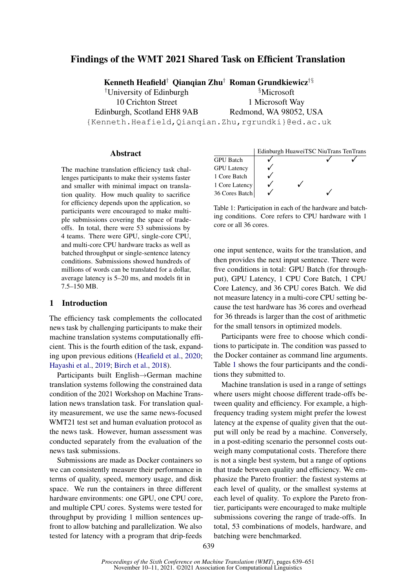# Findings of the WMT 2021 Shared Task on Efficient Translation

Kenneth Heafield† Qianqian Zhu† Roman Grundkiewicz†§

†University of Edinburgh 10 Crichton Street Edinburgh, Scotland EH8 9AB

§Microsoft 1 Microsoft Way Redmond, WA 98052, USA

{Kenneth.Heafield,Qianqian.Zhu,rgrundki}@ed.ac.uk

#### **Abstract**

The machine translation efficiency task challenges participants to make their systems faster and smaller with minimal impact on translation quality. How much quality to sacrifice for efficiency depends upon the application, so participants were encouraged to make multiple submissions covering the space of tradeoffs. In total, there were 53 submissions by 4 teams. There were GPU, single-core CPU, and multi-core CPU hardware tracks as well as batched throughput or single-sentence latency conditions. Submissions showed hundreds of millions of words can be translated for a dollar, average latency is 5–20 ms, and models fit in 7.5–150 MB.

# 1 Introduction

The efficiency task complements the collocated news task by challenging participants to make their machine translation systems computationally efficient. This is the fourth edition of the task, expanding upon previous editions [\(Heafield et al.,](#page-11-0) [2020;](#page-11-0) [Hayashi et al.,](#page-11-1) [2019;](#page-11-1) [Birch et al.,](#page-11-2) [2018\)](#page-11-2).

Participants built English→German machine translation systems following the constrained data condition of the 2021 Workshop on Machine Translation news translation task. For translation quality measurement, we use the same news-focused WMT21 test set and human evaluation protocol as the news task. However, human assessment was conducted separately from the evaluation of the news task submissions.

Submissions are made as Docker containers so we can consistently measure their performance in terms of quality, speed, memory usage, and disk space. We run the containers in three different hardware environments: one GPU, one CPU core, and multiple CPU cores. Systems were tested for throughput by providing 1 million sentences upfront to allow batching and parallelization. We also tested for latency with a program that drip-feeds

<span id="page-0-0"></span>

Table 1: Participation in each of the hardware and batching conditions. Core refers to CPU hardware with 1 core or all 36 cores.

one input sentence, waits for the translation, and then provides the next input sentence. There were five conditions in total: GPU Batch (for throughput), GPU Latency, 1 CPU Core Batch, 1 CPU Core Latency, and 36 CPU cores Batch. We did not measure latency in a multi-core CPU setting because the test hardware has 36 cores and overhead for 36 threads is larger than the cost of arithmetic for the small tensors in optimized models.

Participants were free to choose which conditions to participate in. The condition was passed to the Docker container as command line arguments. Table [1](#page-0-0) shows the four participants and the conditions they submitted to.

Machine translation is used in a range of settings where users might choose different trade-offs between quality and efficiency. For example, a highfrequency trading system might prefer the lowest latency at the expense of quality given that the output will only be read by a machine. Conversely, in a post-editing scenario the personnel costs outweigh many computational costs. Therefore there is not a single best system, but a range of options that trade between quality and efficiency. We emphasize the Pareto frontier: the fastest systems at each level of quality, or the smallest systems at each level of quality. To explore the Pareto frontier, participants were encouraged to make multiple submissions covering the range of trade-offs. In total, 53 combinations of models, hardware, and batching were benchmarked.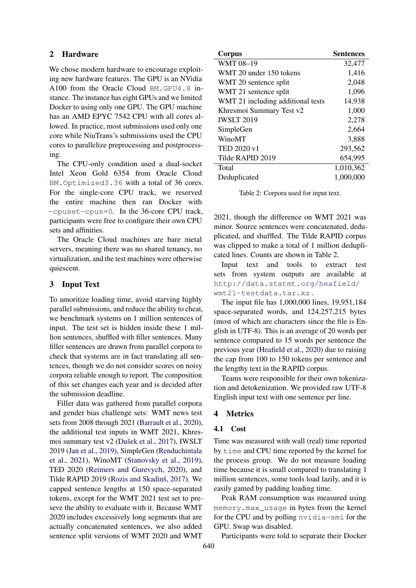## 2 Hardware

We chose modern hardware to encourage exploiting new hardware features. The GPU is an NVidia A100 from the Oracle Cloud BM.GPU4.8 instance. The instance has eight GPUs and we limited Docker to using only one GPU. The GPU machine has an AMD EPYC 7542 CPU with all cores allowed. In practice, most submissions used only one core while NiuTrans's submissions used the CPU cores to parallelize preprocessing and postprocessing.

The CPU-only condition used a dual-socket Intel Xeon Gold 6354 from Oracle Cloud BM.Optimized3.36 with a total of 36 cores. For the single-core CPU track, we reserved the entire machine then ran Docker with -cpuset-cpus=0. In the 36-core CPU track, participants were free to configure their own CPU sets and affinities.

The Oracle Cloud machines are bare metal servers, meaning there was no shared tenancy, no virtualization, and the test machines were otherwise quiescent.

# 3 Input Text

To amoritize loading time, avoid starving highly parallel submissions, and reduce the ability to cheat, we benchmark systems on 1 million sentences of input. The test set is hidden inside these 1 million sentences, shuffled with filler sentences. Many filler sentences are drawn from parallel corpora to check that systems are in fact translating all sentences, though we do not consider scores on noisy corpora reliable enough to report. The composition of this set changes each year and is decided after the submission deadline.

Filler data was gathered from parallel corpora and gender bias challenge sets: WMT news test sets from 2008 through 2021 [\(Barrault et al.,](#page-11-3) [2020\)](#page-11-3), the additional test inputs in WMT 2021, Khresmoi summary test v2 [\(Dušek et al.,](#page-11-4) [2017\)](#page-11-4), IWSLT 2019 [\(Jan et al.,](#page-12-0) [2019\)](#page-12-0), SimpleGen [\(Renduchintala](#page-12-1) [et al.,](#page-12-1) [2021\)](#page-12-1), WinoMT [\(Stanovsky et al.,](#page-12-2) [2019\)](#page-12-2), TED 2020 [\(Reimers and Gurevych,](#page-12-3) [2020\)](#page-12-3), and Tilde RAPID 2019 [\(Rozis and Skadin](#page-12-4)š, [2017\)](#page-12-4). We capped sentence lengths at 150 space-separated tokens, except for the WMT 2021 test set to preseve the ability to evaluate with it. Because WMT 2020 includes excessively long segments that are actually concatenated sentences, we also added sentence split versions of WMT 2020 and WMT

<span id="page-1-0"></span>

| Corpus                            | <b>Sentences</b> |
|-----------------------------------|------------------|
| WMT 08-19                         | 32,477           |
| WMT 20 under 150 tokens           | 1,416            |
| WMT 20 sentence split             | 2,048            |
| WMT 21 sentence split             | 1,096            |
| WMT 21 including additional tests | 14,938           |
| Khresmoi Summary Test v2          | 1,000            |
| <b>IWSLT 2019</b>                 | 2,278            |
| SimpleGen                         | 2,664            |
| WinoMT                            | 3,888            |
| TED 2020 v1                       | 293,562          |
| Tilde RAPID 2019                  | 654,995          |
| Total                             | 1,010,362        |
| Deduplicated                      | 1,000,000        |

Table 2: Corpora used for input text.

2021, though the difference on WMT 2021 was minor. Source sentences were concatenated, deduplicated, and shuffled. The Tilde RAPID corpus was clipped to make a total of 1 million deduplicated lines. Counts are shown in Table [2.](#page-1-0)

Input text and tools to extract test sets from system outputs are available at [http://data.statmt.org/heafield/](http://data.statmt.org/heafield/wmt21-testdata.tar.xz) [wmt21-testdata.tar.xz](http://data.statmt.org/heafield/wmt21-testdata.tar.xz) .

The input file has 1,000,000 lines, 19,951,184 space-separated words, and 124,257,215 bytes (most of which are characters since the file is English in UTF-8). This is an average of 20 words per sentence compared to 15 words per sentence the previous year [\(Heafield et al.,](#page-11-0) [2020\)](#page-11-0) due to raising the cap from 100 to 150 tokens per sentence and the lengthy text in the RAPID corpus.

Teams were responsible for their own tokenization and detokenization. We provided raw UTF-8 English input text with one sentence per line.

### 4 Metrics

#### 4.1 Cost

Time was measured with wall (real) time reported by time and CPU time reported by the kernel for the process group. We do not measure loading time because it is small compared to translating 1 million sentences, some tools load lazily, and it is easily gamed by padding loading time.

Peak RAM consumption was measured using memory.max\_usage in bytes from the kernel for the CPU and by polling nvidia-smi for the GPU. Swap was disabled.

Participants were told to separate their Docker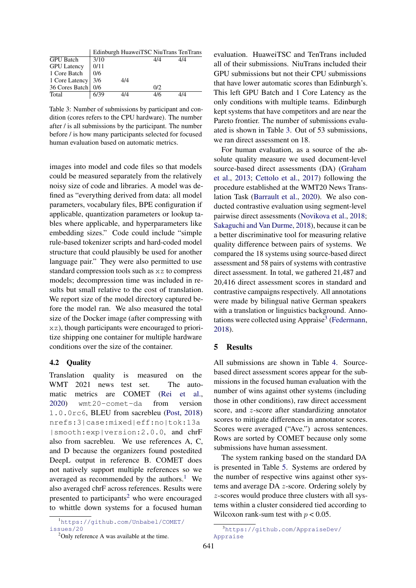<span id="page-2-2"></span>

|                      |              | Edinburgh HuaweiTSC NiuTrans TenTrans |     |     |
|----------------------|--------------|---------------------------------------|-----|-----|
| <b>GPU</b> Batch     | 3/10         |                                       | 4/4 | 4/4 |
| <b>GPU</b> Latency   | 0/11         |                                       |     |     |
| 1 Core Batch         | $\sqrt{0/6}$ |                                       |     |     |
| 1 Core Latency 3/6   |              | 4/4                                   |     |     |
| 36 Cores Batch   0/6 |              |                                       | 0/2 |     |
| Total                | 6/39         |                                       | 416 |     |

Table 3: Number of submissions by participant and condition (cores refers to the CPU hardware). The number after / is all submissions by the participant. The number before / is how many participants selected for focused human evaluation based on automatic metrics.

images into model and code files so that models could be measured separately from the relatively noisy size of code and libraries. A model was defined as "everything derived from data: all model parameters, vocabulary files, BPE configuration if applicable, quantization parameters or lookup tables where applicable, and hyperparameters like embedding sizes." Code could include "simple rule-based tokenizer scripts and hard-coded model structure that could plausibly be used for another language pair." They were also permitted to use standard compression tools such as xz to compress models; decompression time was included in results but small relative to the cost of translation. We report size of the model directory captured before the model ran. We also measured the total size of the Docker image (after compressing with xz), though participants were encouraged to prioritize shipping one container for multiple hardware conditions over the size of the container.

# 4.2 Quality

Translation quality is measured on the WMT 2021 news test set. The automatic metrics are COMET [\(Rei et al.,](#page-12-5) [2020\)](#page-12-5) wmt20-comet-da from version 1.0.0rc6, BLEU from sacrebleu [\(Post,](#page-12-6) [2018\)](#page-12-6) nrefs:3|case:mixed|eff:no|tok:13a |smooth:exp|version:2.0.0, and chrF also from sacrebleu. We use references A, C, and D because the organizers found postedited DeepL output in reference B. COMET does not natively support multiple references so we averaged as recommended by the authors.<sup>[1](#page-2-0)</sup> We also averaged chrF across references. Results were presented to participants<sup>[2](#page-2-1)</sup> who were encouraged to whittle down systems for a focused human

<span id="page-2-1"></span><sup>2</sup>Only reference A was available at the time.

evaluation. HuaweiTSC and TenTrans included all of their submissions. NiuTrans included their GPU submissions but not their CPU submissions that have lower automatic scores than Edinburgh's. This left GPU Batch and 1 Core Latency as the only conditions with multiple teams. Edinburgh kept systems that have competitors and are near the Pareto frontier. The number of submissions evaluated is shown in Table [3.](#page-2-2) Out of 53 submissions, we ran direct assessment on 18.

For human evaluation, as a source of the absolute quality measure we used document-level source-based direct assessments (DA) [\(Graham](#page-11-5) [et al.,](#page-11-5) [2013;](#page-11-5) [Cettolo et al.,](#page-11-6) [2017\)](#page-11-6) following the procedure established at the WMT20 News Translation Task [\(Barrault et al.,](#page-11-3) [2020\)](#page-11-3). We also conducted contrastive evaluation using segment-level pairwise direct assessments [\(Novikova et al.,](#page-12-7) [2018;](#page-12-7) [Sakaguchi and Van Durme,](#page-12-8) [2018\)](#page-12-8), because it can be a better discriminative tool for measuring relative quality difference between pairs of systems. We compared the 18 systems using source-based direct assessment and 58 pairs of systems with contrastive direct assessment. In total, we gathered 21,487 and 20,416 direct assessment scores in standard and contrastive campaigns respectively. All annotations were made by bilingual native German speakers with a translation or linguistics background. Anno-tations were collected using Appraise<sup>[3](#page-2-3)</sup> [\(Federmann,](#page-11-7) [2018\)](#page-11-7).

# 5 Results

All submissions are shown in Table [4.](#page-3-0) Sourcebased direct assessment scores appear for the submissions in the focused human evaluation with the number of wins against other systems (including those in other conditions), raw direct accessment score, and z-score after standardizing annotator scores to mitigate differences in annotator scores. Scores were averaged ("Ave.") across sentences. Rows are sorted by COMET because only some submissions have human assessment.

The system ranking based on the standard DA is presented in Table [5.](#page-4-0) Systems are ordered by the number of respective wins against other systems and average DA z-score. Ordering solely by z-scores would produce three clusters with all systems within a cluster considered tied according to Wilcoxon rank-sum test with  $p < 0.05$ .

<span id="page-2-0"></span><sup>1</sup>[https://github.com/Unbabel/COMET/](https://github.com/Unbabel/COMET/issues/20) [issues/20](https://github.com/Unbabel/COMET/issues/20)

<span id="page-2-3"></span><sup>3</sup>[https://github.com/AppraiseDev/](https://github.com/AppraiseDev/Appraise) [Appraise](https://github.com/AppraiseDev/Appraise)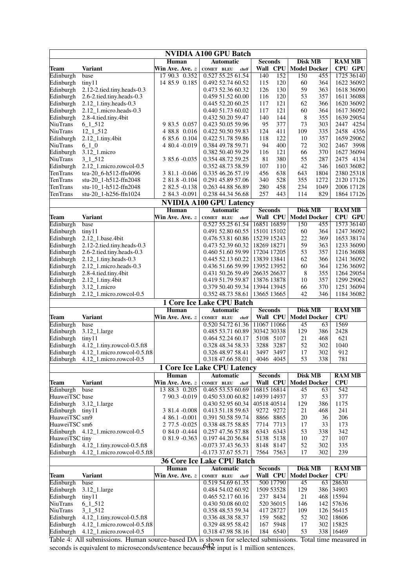<span id="page-3-0"></span>

| <b>NVIDIA A100 GPU Batch</b>                                                                                        |                                                           |                            |                                               |                                   |                                       |                                 |  |  |  |
|---------------------------------------------------------------------------------------------------------------------|-----------------------------------------------------------|----------------------------|-----------------------------------------------|-----------------------------------|---------------------------------------|---------------------------------|--|--|--|
|                                                                                                                     |                                                           | Human                      | <b>Automatic</b>                              | <b>Seconds</b>                    | <b>Disk MB</b>                        | <b>RAM MB</b>                   |  |  |  |
| Team                                                                                                                | <b>Variant</b>                                            | Win Ave. Ave. $z$          | <b>COMET BLEU</b><br>chrF                     |                                   | Wall CPU Model Docker                 | CPU GPU                         |  |  |  |
| Edinburgh                                                                                                           | base                                                      | 17 90.3 0.352              | 0.527 55.25 61.54                             | $\overline{140}$<br>152           | 150<br>455                            | 1725 36140                      |  |  |  |
| Edinburgh                                                                                                           | tiny11                                                    | 14 85.9 0.185              | 0.492 52.74 60.52                             | 115<br>120                        | 60<br>364                             | 1622 36092                      |  |  |  |
| Edinburgh                                                                                                           | 2.12-2.tied.tiny.heads-0.3                                |                            | 0.473 52.36 60.32                             | 130<br>126<br>120                 | 59<br>363<br>53<br>357                | 1618 36090                      |  |  |  |
| Edinburgh<br>Edinburgh                                                                                              | 2.6-2.tied.tiny.heads-0.3                                 |                            | 0.459 51.52 60.00<br>0.445 52.20 60.25        | 116<br>117<br>121                 | 62<br>366                             | 1611 36088<br>1620 36092        |  |  |  |
| Edinburgh                                                                                                           | $2.12$ _1.tiny.heads-0.3<br>2.12_1.micro.heads-0.3        |                            | 0.440 51.73 60.02                             | 117<br>121                        | 60<br>364                             | 1617 36092                      |  |  |  |
| Edinburgh                                                                                                           | 2.8-4.tied.tiny.4bit                                      |                            | 0.432 50.20 59.47                             | 140<br>144                        | 8<br>355                              | 1639 29054                      |  |  |  |
| <b>NiuTrans</b>                                                                                                     | $6\_1\_512$                                               | 9 83.5 0.057               | 0.423 50.05 59.96                             | 377<br>95                         | 73<br>303                             | 2447 4254                       |  |  |  |
| <b>NiuTrans</b>                                                                                                     | $12\_1\_512$                                              | 4 88.8 0.016               | 0.422 50.50 59.83                             | 124<br>411                        | 109<br>335                            | 2458 4356                       |  |  |  |
| Edinburgh                                                                                                           | $2.12$ _1.tiny.4bit                                       | 6 85.6 0.104               | 0.422 51.78 59.86                             | 118<br>122                        | 10<br>357                             | 1659 29062                      |  |  |  |
| <b>NiuTrans</b>                                                                                                     | $6 - 1 - 0$                                               | 4 80.4 -0.019              | 0.384 49.78 59.71                             | 94<br>400                         | 72<br>302                             | 2467 3998                       |  |  |  |
| Edinburgh                                                                                                           | 3.12_1.micro                                              |                            | 0.382 50.40 59.29                             | 121<br>116                        | 66<br>370                             | 1627 36094                      |  |  |  |
| NiuTrans                                                                                                            | $3 - 1 - 512$                                             | 3 85.6 -0.035              | 0.354 48.72 59.25                             | 81<br>380                         | 55<br>287                             | 2475 4134                       |  |  |  |
| Edinburgh                                                                                                           | 2.12_1.micro.rowcol-0.5                                   |                            | 0.352 48.73 58.59                             | 107<br>110                        | 42<br>346                             | 1603 36082                      |  |  |  |
| TenTrans                                                                                                            | tea-20_6-h512-ffn4096                                     | 3 81.1 -0.046              | 0.335 46.26 57.19                             | 456<br>638                        | 1804<br>643                           | 2380 25318                      |  |  |  |
| TenTrans                                                                                                            | stu-20_1-h512-ffn2048                                     | 2 81.8 -0.104              | 0.291 45.89 57.06                             | 340<br>528                        | 355<br>1272                           | 2120 17126                      |  |  |  |
| TenTrans                                                                                                            | stu-10_1-h512-ffn2048                                     | 2 82.5 -0.138              | 0.263 44.88 56.89                             | 280<br>458                        | 234<br>1049                           | 2006 17128                      |  |  |  |
| TenTrans                                                                                                            | stu-20_1-h256-ffn1024                                     | 2 84.3 -0.091              | 0.238 44.34 56.68                             | 257<br>443                        | 114<br>829                            | 1864 17126                      |  |  |  |
|                                                                                                                     |                                                           |                            | <b>NVIDIA A100 GPU Latency</b>                |                                   |                                       |                                 |  |  |  |
| <b>Team</b>                                                                                                         | <b>Variant</b>                                            | Human<br>Win Ave. Ave. $z$ | <b>Automatic</b><br><b>COMET BLEU</b><br>chrF | <b>Seconds</b><br>Wall CPU        | <b>Disk MB</b><br><b>Model Docker</b> | <b>RAM MB</b><br><b>CPU GPU</b> |  |  |  |
| Edinburgh                                                                                                           | base                                                      |                            | 0.527 55.25 61.54                             | 16851 16859                       | 150<br>455                            | 1573 36140                      |  |  |  |
| Edinburgh                                                                                                           | tiny11                                                    |                            | 0.491 52.80 60.55                             | 15101 15102                       | 60<br>364                             | 1247 36092                      |  |  |  |
| Edinburgh                                                                                                           | 2.12_1.base.4bit                                          |                            | 0.476 53.81 60.86                             | 15239 15243                       | 22<br>369                             | 1653 38174                      |  |  |  |
| Edinburgh                                                                                                           | 2.12-2.tied.tiny.heads-0.3                                |                            | 0.473 52.39 60.32                             | 18269 18271                       | 59<br>363                             | 1233 36090                      |  |  |  |
| Edinburgh                                                                                                           | 2.6-2.tied.tiny.heads-0.3                                 |                            | 0.460 51.60 59.99                             | 17204 17205                       | 53<br>357                             | 1216 36088                      |  |  |  |
| Edinburgh                                                                                                           | 2.12_1.tiny.heads-0.3                                     |                            | 0.445 52.13 60.22                             | 13839 13841                       | 62<br>366                             | 1241 36092                      |  |  |  |
| Edinburgh                                                                                                           | 2.12_1.micro.heads-0.3                                    |                            | 0.436 51.66 59.99                             | 13952 13952                       | 60<br>364                             | 1236 36092                      |  |  |  |
| Edinburgh                                                                                                           | 2.8-4.tied.tiny.4bit                                      |                            | 0.431 50.26 59.49                             | 26635 26637                       | 8<br>355                              | 1264 29054                      |  |  |  |
| Edinburgh                                                                                                           | 2.12_1.tiny.4bit                                          |                            | 0.419 51.79 59.87                             | 13876 13878                       | 10<br>357                             | 1299 29062                      |  |  |  |
| Edinburgh                                                                                                           | 3.12_1.micro                                              |                            | 0.379 50.40 59.34                             | 13944 13945                       | 66<br>370                             | 1251 36094                      |  |  |  |
| Edinburgh                                                                                                           | 2.12_1.micro.rowcol-0.5                                   |                            | 0.352 48.73 58.61                             | 13665 13665                       | 42<br>346                             | 1184 36082                      |  |  |  |
|                                                                                                                     |                                                           |                            | 1 Core Ice Lake CPU Batch                     |                                   |                                       |                                 |  |  |  |
| <b>Team</b>                                                                                                         | <b>Variant</b>                                            | Human<br>Win Ave. Ave. $z$ | <b>Automatic</b><br><b>COMET BLEU</b>         | <b>Seconds</b><br><b>Wall CPU</b> | <b>Disk MB</b><br><b>Model Docker</b> | <b>RAM MB</b><br><b>CPU</b>     |  |  |  |
| Edinburgh                                                                                                           | base                                                      |                            | chrF<br>0.520 54.72 61.36                     | 11067 11066                       | 45<br>63                              | 1569                            |  |  |  |
| Edinburgh                                                                                                           | 3.12_1.large                                              |                            | 0.485 53.71 60.89                             | 30342 30338                       | 386<br>129                            | 2428                            |  |  |  |
| Edinburgh                                                                                                           | tiny11                                                    |                            | 0.464 52.24 60.17                             | 5108 5107                         | 21<br>468                             | 621                             |  |  |  |
| Edinburgh                                                                                                           | 4.12_1.tiny.rowcol-0.5.ft8                                |                            | 0.328 48.34 58.33                             | 3287<br>3288                      | 52<br>302                             | 1040                            |  |  |  |
| Edinburgh                                                                                                           | 4.12_1.micro.rowcol-0.5.ft8                               |                            | 0.326 48.97 58.41                             | 3497 3497                         | 17<br>302                             | 912                             |  |  |  |
| Edinburgh                                                                                                           | 4.12 1.micro.rowcol-0.5                                   |                            | 0.318 47.66 58.01                             | 4046 4045                         | 53<br>338                             | 781                             |  |  |  |
|                                                                                                                     |                                                           |                            | <b>1 Core Ice Lake CPU Latency</b>            |                                   |                                       |                                 |  |  |  |
|                                                                                                                     |                                                           | Human                      | <b>Automatic</b>                              | <b>Seconds</b>                    | <b>Disk MB</b>                        | <b>RAM MB</b>                   |  |  |  |
| Team                                                                                                                | <b>Variant</b>                                            | Win Ave. Ave. z            | <b>COMET BLEU</b><br>chrF                     | Wall CPU                          | <b>Model Docker</b>                   | CPU                             |  |  |  |
| Edinburgh                                                                                                           | base                                                      | 13 88.3 0.205              | 0.465 53.53 60.69                             | 16815 16814                       | 45<br>63                              | 542                             |  |  |  |
| HuaweiTSC base                                                                                                      |                                                           | 7 90.3 -0.019              | 0.450 53.00 60.82                             | 14939 14937                       | 37<br>53                              | 377                             |  |  |  |
| Edinburgh                                                                                                           | 3.12_1.large                                              |                            | 0.430 52.95 60.34                             | 40518 40514                       | 129<br>386                            | 1175                            |  |  |  |
| Edinburgh tiny11                                                                                                    |                                                           | 3 81.4 -0.008              | 0.413 51.18 59.63                             | 9272 9272                         | 21<br>468                             | 241                             |  |  |  |
| HuaweiTSC sm9                                                                                                       |                                                           | 4 86.1 -0.001              | 0.391 50.58 59.74                             | 8866 8865                         | 20<br>36                              | 206                             |  |  |  |
| HuaweiTSC sm6                                                                                                       |                                                           | 2 77.5 -0.025              | 0.338 48.75 58.85                             | 7714 7713                         | 17<br>33                              | 173                             |  |  |  |
|                                                                                                                     | Edinburgh 4.12_1.micro.rowcol-0.5                         | $084.0 - 0.444$            | 0.257 47.56 57.88                             | 6343 6343                         | 53<br>338                             | 342                             |  |  |  |
| HuaweiTSC tiny                                                                                                      |                                                           | $081.9 - 0.363$            | 0.197 44.20 56.84                             | 5138 5138                         | 10<br>27                              | 107<br>335                      |  |  |  |
| Edinburgh<br>Edinburgh                                                                                              | 4.12_1.tiny.rowcol-0.5.ft8<br>4.12_1.micro.rowcol-0.5.ft8 |                            | $-0.073$ 37.43 56.33<br>$-0.17337.6755.71$    | 8148<br>8147<br>7564<br>7563      | 52<br>302<br>17<br>302                | 239                             |  |  |  |
|                                                                                                                     |                                                           |                            |                                               |                                   |                                       |                                 |  |  |  |
| <b>36 Core Ice Lake CPU Batch</b><br>Human<br><b>Seconds</b><br><b>Automatic</b><br><b>Disk MB</b><br><b>RAM MB</b> |                                                           |                            |                                               |                                   |                                       |                                 |  |  |  |
| <b>Team</b>                                                                                                         | <b>Variant</b>                                            | Win Ave. Ave. $z$          | <b>COMET BLEU</b><br>chrF                     | Wall CPU                          | <b>Model Docker</b>                   | <b>CPU</b>                      |  |  |  |
| Edinburgh                                                                                                           | base                                                      |                            | 0.519 54.69 61.35                             | 500 17790                         | 45<br>63                              | 28630                           |  |  |  |
| Edinburgh                                                                                                           | 3.12_1.large                                              |                            | 0.484 54.02 60.92                             | 1509 53528                        | 129<br>386                            | 34903                           |  |  |  |
| Edinburgh                                                                                                           | tiny11                                                    |                            | 0.465 52.17 60.16                             | 237 8434                          | 21<br>468                             | 15594                           |  |  |  |
| NiuTrans                                                                                                            | $6 - 1 - 512$                                             |                            | 0.430 50.08 60.02                             | 520 36015                         | 146<br>142                            | 57636                           |  |  |  |
| <b>NiuTrans</b>                                                                                                     | $3 - 1 - 512$                                             |                            | 0.358 48.53 59.34                             | 417 28727                         | 109<br>126                            | 56415                           |  |  |  |
| Edinburgh                                                                                                           | 4.12_1.tiny.rowcol-0.5.ft8                                |                            | 0.336 48.38 58.37                             | 159 5682                          | 52<br>302                             | 18606                           |  |  |  |
| Edinburgh                                                                                                           | 4.12_1.micro.rowcol-0.5.ft8                               |                            | 0.329 48.95 58.42                             | 167<br>5948                       | 17<br>302                             | 15825                           |  |  |  |
| Edinburgh                                                                                                           | 4.12_1.micro.rowcol-0.5                                   |                            | 0.318 47.98 58.16                             | 184 6540                          | 53<br>338                             | 16469                           |  |  |  |

642 Table 4: All submissions. Human source-based DA is shown for selected submissions. Total time measured in seconds is equivalent to microseconds/sentence because  $\theta$ the input is 1 million sentences.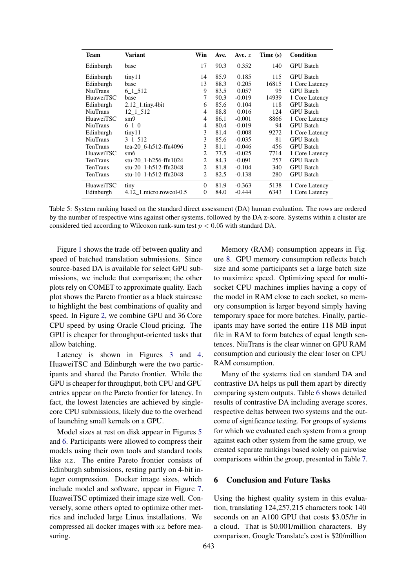<span id="page-4-0"></span>

| Team             | Variant                 | Win            | Ave. | Ave. $z$ | Time (s) | Condition        |
|------------------|-------------------------|----------------|------|----------|----------|------------------|
| Edinburgh        | base                    | 17             | 90.3 | 0.352    | 140      | <b>GPU</b> Batch |
| Edinburgh        | tiny 11                 | 14             | 85.9 | 0.185    | 115      | <b>GPU</b> Batch |
| Edinburgh        | base                    | 13             | 88.3 | 0.205    | 16815    | 1 Core Latency   |
| <b>NiuTrans</b>  | 6 1 5 1 2               | 9              | 83.5 | 0.057    | 95       | <b>GPU</b> Batch |
| <b>HuaweiTSC</b> | base                    | 7              | 90.3 | $-0.019$ | 14939    | 1 Core Latency   |
| Edinburgh        | $2.12$ 1.tiny.4bit      | 6              | 85.6 | 0.104    | 118      | <b>GPU</b> Batch |
| <b>NiuTrans</b>  | 12 1 512                | 4              | 88.8 | 0.016    | 124      | <b>GPU</b> Batch |
| <b>HuaweiTSC</b> | $\mathrm{sm9}$          | 4              | 86.1 | $-0.001$ | 8866     | 1 Core Latency   |
| <b>NiuTrans</b>  | 6 1 0                   | 4              | 80.4 | $-0.019$ | 94       | <b>GPU</b> Batch |
| Edinburgh        | tiny11                  | 3              | 81.4 | $-0.008$ | 9272     | 1 Core Latency   |
| <b>NiuTrans</b>  | 3 1 5 1 2               | 3              | 85.6 | $-0.035$ | 81       | <b>GPU</b> Batch |
| <b>TenTrans</b>  | tea-20 6-h512-ffn4096   | 3              | 81.1 | $-0.046$ | 456      | <b>GPU</b> Batch |
| <b>HuaweiTSC</b> | sm6                     | 2              | 77.5 | $-0.025$ | 7714     | 1 Core Latency   |
| TenTrans         | stu-20 1-h256-ffn1024   | $\overline{c}$ | 84.3 | $-0.091$ | 257      | <b>GPU</b> Batch |
| <b>TenTrans</b>  | stu-20 1-h512-ffn2048   | $\mathfrak{D}$ | 81.8 | $-0.104$ | 340      | <b>GPU</b> Batch |
| TenTrans         | stu-10 1-h512-ffn2048   | $\overline{c}$ | 82.5 | $-0.138$ | 280      | <b>GPU</b> Batch |
| HuaweiTSC        | tiny                    | $\Omega$       | 81.9 | $-0.363$ | 5138     | 1 Core Latency   |
| Edinburgh        | 4.12 1.micro.rowcol-0.5 | 0              | 84.0 | $-0.444$ | 6343     | 1 Core Latency   |

Table 5: System ranking based on the standard direct assessment (DA) human evaluation. The rows are ordered by the number of respective wins against other systems, followed by the DA z-score. Systems within a cluster are considered tied according to Wilcoxon rank-sum test  $p < 0.05$  with standard DA.

Figure [1](#page-5-0) shows the trade-off between quality and speed of batched translation submissions. Since source-based DA is available for select GPU submissions, we include that comparison; the other plots rely on COMET to approximate quality. Each plot shows the Pareto frontier as a black staircase to highlight the best combinations of quality and speed. In Figure [2,](#page-6-0) we combine GPU and 36 Core CPU speed by using Oracle Cloud pricing. The GPU is cheaper for throughput-oriented tasks that allow batching.

Latency is shown in Figures [3](#page-6-1) and [4.](#page-6-1) HuaweiTSC and Edinburgh were the two participants and shared the Pareto frontier. While the GPU is cheaper for throughput, both CPU and GPU entries appear on the Pareto frontier for latency. In fact, the lowest latencies are achieved by singlecore CPU submissions, likely due to the overhead of launching small kernels on a GPU.

Model sizes at rest on disk appear in Figures [5](#page-7-0) and [6.](#page-7-0) Participants were allowed to compress their models using their own tools and standard tools like xz. The entire Pareto frontier consists of Edinburgh submissions, resting partly on 4-bit integer compression. Docker image sizes, which include model and software, appear in Figure [7.](#page-7-0) HuaweiTSC optimized their image size well. Conversely, some others opted to optimize other metrics and included large Linux installations. We compressed all docker images with xz before measuring.

Memory (RAM) consumption appears in Figure [8.](#page-8-0) GPU memory consumption reflects batch size and some participants set a large batch size to maximize speed. Optimizing speed for multisocket CPU machines implies having a copy of the model in RAM close to each socket, so memory consumption is larger beyond simply having temporary space for more batches. Finally, participants may have sorted the entire 118 MB input file in RAM to form batches of equal length sentences. NiuTrans is the clear winner on GPU RAM consumption and curiously the clear loser on CPU RAM consumption.

Many of the systems tied on standard DA and contrastive DA helps us pull them apart by directly comparing system outputs. Table [6](#page-9-0) shows detailed results of contrastive DA including average scores, respective deltas between two systems and the outcome of significance testing. For groups of systems for which we evaluated each system from a group against each other system from the same group, we created separate rankings based solely on pairwise comparisons within the group, presented in Table [7.](#page-10-0)

#### 6 Conclusion and Future Tasks

Using the highest quality system in this evaluation, translating 124,257,215 characters took 140 seconds on an A100 GPU that costs \$3.05/hr in a cloud. That is \$0.001/million characters. By comparison, Google Translate's cost is \$20/million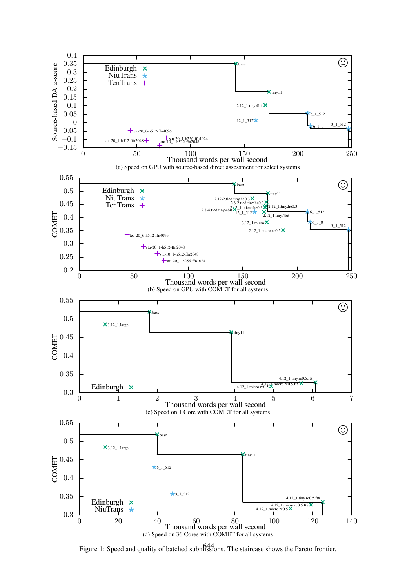<span id="page-5-0"></span>

Figure 1: Speed and quality of batched submissions. The staircase shows the Pareto frontier.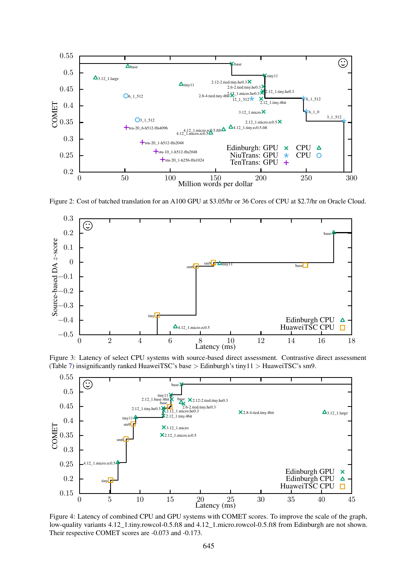<span id="page-6-0"></span>

Figure 2: Cost of batched translation for an A100 GPU at \$3.05/hr or 36 Cores of CPU at \$2.7/hr on Oracle Cloud.

<span id="page-6-1"></span>

Figure 3: Latency of select CPU systems with source-based direct assessment. Contrastive direct assessment (Table [7\)](#page-10-0) insignificantly ranked HuaweiTSC's base > Edinburgh's tiny11 > HuaweiTSC's sm9.



Figure 4: Latency of combined CPU and GPU systems with COMET scores. To improve the scale of the graph, low-quality variants  $4.12\_1$ .tiny.rowcol-0.5.ft8 and  $4.12\_1$ .micro.rowcol-0.5.ft8 from Edinburgh are not shown. Their respective COMET scores are -0.073 and -0.173.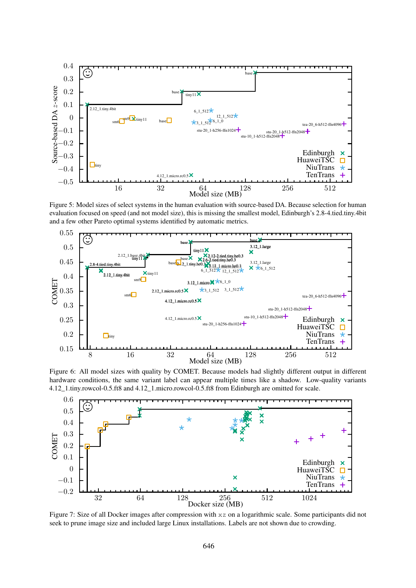<span id="page-7-0"></span>

Figure 5: Model sizes of select systems in the human evaluation with source-based DA. Because selection for human evaluation focused on speed (and not model size), this is missing the smallest model, Edinburgh's 2.8-4.tied.tiny.4bit and a few other Pareto optimal systems identified by automatic metrics.



Figure 6: All model sizes with quality by COMET. Because models had slightly different output in different hardware conditions, the same variant label can appear multiple times like a shadow. Low-quality variants 4.12\_1.tiny.rowcol-0.5.ft8 and 4.12\_1.micro.rowcol-0.5.ft8 from Edinburgh are omitted for scale.



Figure 7: Size of all Docker images after compression with xz on a logarithmic scale. Some participants did not seek to prune image size and included large Linux installations. Labels are not shown due to crowding.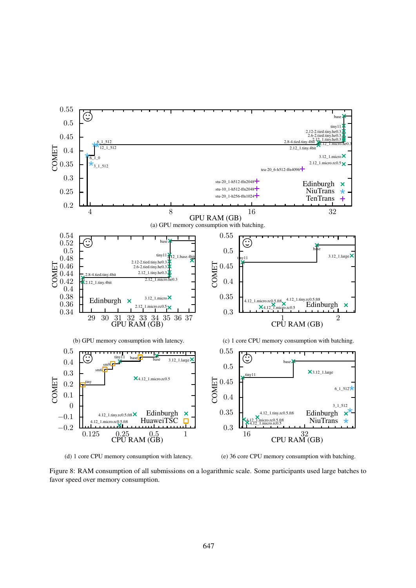<span id="page-8-0"></span>

(d) 1 core CPU memory consumption with latency.

(e) 36 core CPU memory consumption with batching.

Figure 8: RAM consumption of all submissions on a logarithmic scale. Some participants used large batches to favor speed over memory consumption.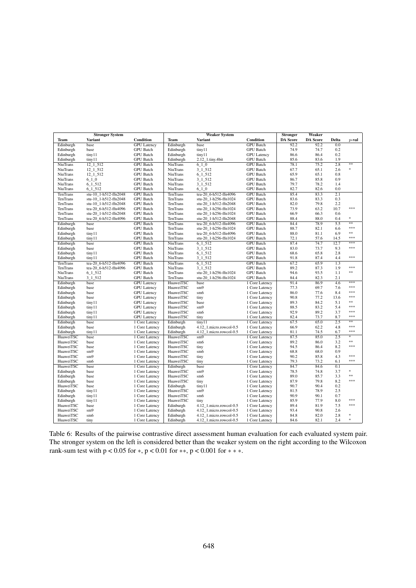<span id="page-9-0"></span>

|                 | <b>Stronger System</b> |                    | <b>Weaker System</b> |                         |                    | <b>Stronger</b> | Weaker          |                  |            |
|-----------------|------------------------|--------------------|----------------------|-------------------------|--------------------|-----------------|-----------------|------------------|------------|
| Team            | <b>Variant</b>         | Condition          | Team                 | <b>Variant</b>          | Condition          | <b>DA Score</b> | <b>DA Score</b> | Delta            | $p$ -val   |
| Edinburgh       | base                   | <b>GPU</b> Latency | Edinburgh            | base                    | <b>GPU</b> Batch   | 92.2            | 92.2            | 0.0              |            |
| Edinburgh       | base                   | <b>GPU</b> Batch   | Edinburgh            | tiny11                  | <b>GPU</b> Batch   | 74.9            | 74.7            | 0.2              |            |
| Edinburgh       | tiny11                 | <b>GPU</b> Batch   | Edinburgh            | tiny11                  | <b>GPU</b> Latency | 86.6            | 86.4            | 0.2              |            |
| Edinburgh       | tiny11                 | <b>GPU</b> Batch   | Edinburgh            | 2.12_1.tiny.4bit        | <b>GPU</b> Batch   | 85.6            | 83.6            | 1.9              |            |
| <b>NiuTrans</b> | $12\_1\_512$           | <b>GPU</b> Batch   | <b>NiuTrans</b>      | $6 - 1 - 0$             | <b>GPU</b> Batch   | 78.1            | 75.2            | 2.8              | **         |
| <b>NiuTrans</b> | $12\_1\_512$           | <b>GPU</b> Batch   | <b>NiuTrans</b>      | $3 - 1 - 512$           | <b>GPU</b> Batch   | 67.7            | 65.1            | 2.6              | *          |
| <b>NiuTrans</b> | 12 1 512               | <b>GPU</b> Batch   | <b>NiuTrans</b>      | 6 1 5 1 2               | <b>GPU</b> Batch   | 65.9            | 65.1            | 0.8              |            |
| <b>NiuTrans</b> | $6 - 1 - 0$            | <b>GPU</b> Batch   | <b>NiuTrans</b>      | $3 - 1 - 512$           | <b>GPU</b> Batch   | 86.7            | 85.8            | 0.9              |            |
| <b>NiuTrans</b> | $6 - 1 - 512$          | <b>GPU Batch</b>   | <b>NiuTrans</b>      | $3 - 1 - 512$           | <b>GPU</b> Batch   | 79.7            | 78.2            | 1.4              |            |
| <b>NiuTrans</b> | 6 1 5 1 2              | <b>GPU</b> Batch   | <b>NiuTrans</b>      | 6 1 0                   | <b>GPU</b> Batch   | 82.7            | 82.6            | 0.0              |            |
| TenTrans        | stu-10 1-h512-ffn2048  | <b>GPU</b> Batch   | TenTrans             | tea-20 6-h512-ffn4096   | <b>GPU</b> Batch   | 85.4            | 83.3            | 2.1              |            |
| TenTrans        | stu-10 1-h512-ffn2048  | <b>GPU</b> Batch   | TenTrans             | stu-20 1-h256-ffn1024   | <b>GPU</b> Batch   | 83.6            | 83.3            | 0.3              |            |
| TenTrans        | stu-10 1-h512-ffn2048  | <b>GPU</b> Batch   | <b>TenTrans</b>      | stu-20 1-h512-ffn2048   | <b>GPU</b> Batch   | 82.0            | 79.8            | 2.2              |            |
| TenTrans        | tea-20 6-h512-ffn4096  | <b>GPU</b> Batch   | TenTrans             | stu-20 1-h256-ffn1024   | <b>GPU</b> Batch   | 73.9            | 63.2            | 10.7             | ***        |
| TenTrans        | stu-20 1-h512-ffn2048  | <b>GPU</b> Batch   | TenTrans             | stu-20 1-h256-ffn1024   | <b>GPU</b> Batch   | 66.9            | 66.3            | 0.6              |            |
| TenTrans        | tea-20 6-h512-ffn4096  | <b>GPU</b> Batch   | TenTrans             | stu-20 1-h512-ffn2048   | <b>GPU</b> Batch   | 88.4            | 88.0            | 0.4              | *          |
| Edinburgh       | base                   | <b>GPU</b> Batch   | <b>TenTrans</b>      | tea-20 6-h512-ffn4096   | <b>GPU</b> Batch   | 84.4            | 78.9            | $\overline{5.5}$ | $**$       |
| Edinburgh       | base                   | <b>GPU</b> Batch   | TenTrans             | stu-20_1-h256-ffn1024   | <b>GPU</b> Batch   | 88.7            | 82.1            | 6.6              | ***        |
| Edinburgh       | tiny11                 | <b>GPU</b> Batch   | TenTrans             | tea-20 6-h512-ffn4096   | <b>GPU</b> Batch   | 88.0            | 81.1            | 6.9              | $\ast\ast$ |
| Edinburgh       | tiny11                 | <b>GPU</b> Batch   | TenTrans             | stu-20 1-h256-ffn1024   | <b>GPU</b> Batch   | 72.1            | 57.6            | 14.5             | ***        |
| Edinburgh       | base                   | <b>GPU</b> Batch   | <b>NiuTrans</b>      | $6 - 1 - 512$           | <b>GPU</b> Batch   | 87.4            | 74.7            | 12.7             | ***        |
| Edinburgh       | base                   | <b>GPU</b> Batch   | <b>NiuTrans</b>      | $3 - 1 - 512$           | <b>GPU</b> Batch   | 83.0            | 73.7            | 9.3              | ***        |
| Edinburgh       | tiny11                 | <b>GPU</b> Batch   | <b>NiuTrans</b>      | $6 - 1 - 512$           | <b>GPU</b> Batch   | 68.6            | 65.8            | 2.8              |            |
| Edinburgh       | tiny11                 | <b>GPU</b> Batch   | <b>NiuTrans</b>      | $3 - 1 - 512$           | <b>GPU</b> Batch   | 91.8            | 87.4            | 4.4              | ***        |
| <b>TenTrans</b> | tea-20 6-h512-ffn4096  | <b>GPU</b> Batch   | <b>NiuTrans</b>      | 6 1 5 1 2               | <b>GPU</b> Batch   | 67.2            | 65.9            | 1.3              |            |
| TenTrans        | tea-20 6-h512-ffn4096  | <b>GPU</b> Batch   | <b>NiuTrans</b>      | $3 - 1 - 512$           | <b>GPU</b> Batch   | 89.2            | 87.3            | 1.9              | ***        |
| <b>NiuTrans</b> | $6\_1\_512$            | <b>GPU</b> Batch   | TenTrans             | stu-20_1-h256-ffn1024   | <b>GPU</b> Batch   | 94.6            | 93.5            | 1.1              | $***$      |
| NiuTrans        | 3 1 5 1 2              | <b>GPU</b> Batch   | TenTrans             | stu-20 1-h256-ffn1024   | <b>GPU</b> Batch   | 84.4            | 82.3            | 2.1              |            |
| Edinburgh       | base                   | <b>GPU</b> Latency | HuaweiTSC            | base                    | 1 Core Latency     | 91.4            | 86.9            | 4.6              | ***        |
| Edinburgh       | base                   | <b>GPU</b> Latency | HuaweiTSC            | sm9                     | 1 Core Latency     | 77.3            | 69.7            | 7.6              | ***        |
| Edinburgh       | base                   | <b>GPU</b> Latency | HuaweiTSC            | sm6                     | 1 Core Latency     | 86.0            | 77.6            | 8.4              | ***        |
| Edinburgh       | base                   | <b>GPU</b> Latency | HuaweiTSC            | tiny                    | 1 Core Latency     | 90.8            | 77.2            | 13.6             | ***        |
| Edinburgh       | tiny11                 | <b>GPU</b> Latency | HuaweiTSC            | base                    | 1 Core Latency     | 89.3            | 84.2            | 5.1              | **         |
| Edinburgh       | tiny11                 | <b>GPU</b> Latency | HuaweiTSC            | sm9                     | 1 Core Latency     | 88.5            | 83.2            | 5.4              | ***        |
| Edinburgh       | tiny11                 | <b>GPU</b> Latency | HuaweiTSC            | sm <sub>6</sub>         | 1 Core Latency     | 92.9            | 89.2            | 3.7              | ***        |
| Edinburgh       | tiny11                 | <b>GPU</b> Latency | HuaweiTSC            | tiny                    | 1 Core Latency     | 82.4            | 73.7            | 8.7              | ***        |
| Edinburgh       | base                   | 1 Core Latency     | Edinburgh            | tiny11                  | 1 Core Latency     | 67.5            | 65.0            | 2.5              | **         |
| Edinburgh       | base                   | 1 Core Latency     | Edinburgh            | 4.12 1.micro.rowcol-0.5 | 1 Core Latency     | 66.9            | 62.2            | 4.8              | ***        |
| Edinburgh       | tiny11                 | 1 Core Latency     | Edinburgh            | 4.12_1.micro.rowcol-0.5 | 1 Core Latency     | 81.1            | 74.5            | 6.7              | ***        |
| HuaweiTSC       | base                   | 1 Core Latency     | HuaweiTSC            | sm9                     | 1 Core Latency     | 87.5            | 85.0            | 2.5              | *          |
| HuaweiTSC       | base                   | 1 Core Latency     | HuaweiTSC            | sm <sub>6</sub>         | 1 Core Latency     | 89.2            | 86.0            | 3.2              | $**$       |
| HuaweiTSC       | base                   | 1 Core Latency     | HuaweiTSC            | tiny                    | 1 Core Latency     | 94.5            | 86.4            | 8.2              | ***        |
| HuaweiTSC       | sm9                    | 1 Core Latency     | HuaweiTSC            | sm6                     | 1 Core Latency     | 68.8            | 68.0            | 0.9              |            |
| HuaweiTSC       | sm9                    | 1 Core Latency     | HuaweiTSC            | tiny                    | 1 Core Latency     | 90.2            | 85.8            | 4.3              | ***        |
| HuaweiTSC       | sm6                    | 1 Core Latency     | HuaweiTSC            | tiny                    | 1 Core Latency     | 79.3            | 73.2            | 6.1              | ***        |
| HuaweiTSC       | base                   | 1 Core Latency     | Edinburgh            | base                    | 1 Core Latency     | 84.7            | 84.6            | 0.1              |            |
| Edinburgh       | base                   | 1 Core Latency     | HuaweiTSC            | sm9                     | 1 Core Latency     | 78.5            | 74.8            | 3.7              | *          |
| Edinburgh       | base                   | 1 Core Latency     | HuaweiTSC            | sm6                     | 1 Core Latency     | 89.0            | 85.7            | 3.3              | $**$       |
| Edinburgh       | base                   | 1 Core Latency     | HuaweiTSC            | tiny                    | 1 Core Latency     | 87.9            | 79.8            | 8.2              | ***        |
| HuaweiTSC       | base                   | 1 Core Latency     | Edinburgh            | tiny11                  | 1 Core Latency     | 90.7            | 90.4            | 0.2              |            |
| Edinburgh       | tiny11                 | 1 Core Latency     | HuaweiTSC            | sm9                     | 1 Core Latency     | 81.5            | 78.9            | 2.5              |            |
| Edinburgh       | tiny11                 | 1 Core Latency     | HuaweiTSC            | sm6                     | 1 Core Latency     | 90.9            | 90.1            | 0.7              |            |
| Edinburgh       | tiny11                 | 1 Core Latency     | HuaweiTSC            | tiny                    | 1 Core Latency     | 85.9            | 77.9            | 8.0              | ***        |
| HuaweiTSC       | base                   | 1 Core Latency     | Edinburgh            | 4.12 1.micro.rowcol-0.5 | 1 Core Latency     | 89.4            | 81.9            | 7.5              | ***        |
| HuaweiTSC       | sm9                    | 1 Core Latency     | Edinburgh            | 4.12_1.micro.rowcol-0.5 | 1 Core Latency     | 93.4            | 90.8            | 2.6              |            |
| HuaweiTSC       | sm6                    | 1 Core Latency     | Edinburgh            | 4.12 1.micro.rowcol-0.5 | 1 Core Latency     | 84.8            | 82.0            | 2.8              | *          |
| HuaweiTSC       | tiny                   | 1 Core Latency     | Edinburgh            | 4.12_1.micro.rowcol-0.5 | 1 Core Latency     | 84.6            | 82.1            | 2.4              | *          |

Table 6: Results of the pairwise contrastive direct assessment human evaluation for each evaluated system pair. The stronger system on the left is considered better than the weaker system on the right according to the Wilcoxon rank-sum test with  $p < 0.05$  for  $*$ ,  $p < 0.01$  for  $**$ ,  $p < 0.001$  for  $* * *$ .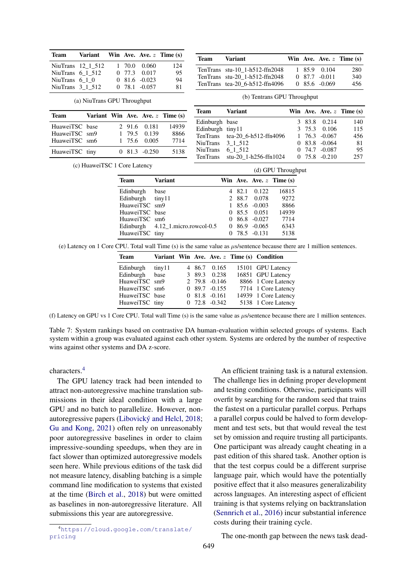|                        |                             |   |        | $11.11$ $11.00$ $11.00$ $\sim$ $11.110$ (b) |                                    |
|------------------------|-----------------------------|---|--------|---------------------------------------------|------------------------------------|
| NiuTrans 12 1 512      |                             | 1 | 70.0   | 0.060                                       | 124                                |
| NiuTrans $6 \ 1 \ 512$ |                             | 0 | 77.3   | 0.017                                       | 95                                 |
| NiuTrans $6\ 1\ 0$     |                             |   |        | $0,81.6, -0.023$                            | 94                                 |
| NiuTrans 3 1 512       |                             |   |        | $0$ 78.1 $-0.057$                           | 81                                 |
|                        | (a) NiuTrans GPU Throughput |   |        |                                             |                                    |
| <b>Team</b>            |                             |   |        |                                             | Variant Win Ave. Ave. $z$ Time (s) |
|                        |                             |   |        |                                             |                                    |
| HuaweiTSC base         |                             |   | 2 91.6 | 0.181                                       | 14939                              |
| HuaweiTSC sm9          |                             | 1 | 79.5   | 0.139                                       | 8866                               |
| HuaweiTSC sm6          |                             | 1 | 75.6   | 0.005                                       | 7714                               |

<span id="page-10-0"></span>Team Variant Win  $\Delta v = \Delta v = \sum_{n=1}^{\infty}$ 

| Variant                        |  |                  | Win Ave. Ave. $z$ Time (s) |
|--------------------------------|--|------------------|----------------------------|
| TenTrans stu-10 1-h512-ffn2048 |  | 1 85.9 0.104     | 280                        |
| TenTrans stu-20 1-h512-ffn2048 |  | $0.87.7 - 0.011$ | 340                        |
| TenTrans tea-20 6-h512-ffn4096 |  | $0,85.6, -0.069$ | 456                        |

(b) Tentrans GPU Throughput

|               |                       |                        | Variant                          |  |                   |                            |
|---------------|-----------------------|------------------------|----------------------------------|--|-------------------|----------------------------|
|               | ve. Ave. $z$ Time (s) | Team                   |                                  |  |                   | Win Ave. Ave. $z$ Time (s) |
|               |                       | Edinburgh base         |                                  |  | 3 83.8 0.214      | 140                        |
|               |                       |                        |                                  |  |                   |                            |
| 1.6 0.181     | 14939                 | Edinburgh tiny11       |                                  |  | 3 75.3 0.106      | 115                        |
| 9.5 0.139     | 8866                  |                        | TenTrans tea-20_6-h512-ffn4096   |  | $1, 76.3, -0.067$ | 456                        |
|               |                       |                        |                                  |  |                   |                            |
| 5.6 0.005     | 7714                  | NiuTrans 3 1 512       |                                  |  | $083.8 - 0.064$   | -81                        |
| $1.3 - 0.250$ | 5138                  | NiuTrans $6 \ 1 \ 512$ |                                  |  | $0.74.7 - 0.087$  | -95                        |
|               |                       |                        | TenTrans $stu-20_1-h256-ffn1024$ |  | $0$ 75.8 $-0.210$ | 257                        |

(c) HuaweiTSC 1 Core Latency

|                           |                                   |        |                   | (d) GPU Throughput         |
|---------------------------|-----------------------------------|--------|-------------------|----------------------------|
| <b>Team</b>               | <b>Variant</b>                    |        |                   | Win Ave. Ave. $z$ Time (s) |
| Edinburgh                 | base                              | 4 82.1 | 0.122             | 16815                      |
| Edinburgh $\text{tiny}11$ |                                   |        | 2 88.7 0.078      | 9272                       |
| HuaweiTSC sm9             |                                   |        | $185.6 - 0.003$   | 8866                       |
| HuaweiTSC base            |                                   |        | 0,85.5,0.051      | 14939                      |
| HuaweiTSC sm6             |                                   |        | $0.86.8 - 0.027$  | 7714                       |
|                           | Edinburgh 4.12_1.micro.rowcol-0.5 |        | $0.86.9 - 0.065$  | 6343                       |
| HuaweiTSC tiny            |                                   |        | $0, 78.5, -0.131$ | 5138                       |

(e) Latency on 1 Core CPU. Total wall Time (s) is the same value as µs/sentence because there are 1 million sentences.

| Team           |         |  |                   | Variant Win Ave. Ave. z Time (s) Condition |
|----------------|---------|--|-------------------|--------------------------------------------|
| Edinburgh      | tiny 11 |  | 4 86.7 0.165      | 15101 GPU Latency                          |
| Edinburgh base |         |  | 3 89.3 0.238      | 16851 GPU Latency                          |
| HuaweiTSC sm9  |         |  | 2 79.8 -0.146     | 8866 1 Core Latency                        |
| HuaweiTSC sm6  |         |  | $089.7 -0.155$    | 7714 1 Core Latency                        |
| HuaweiTSC base |         |  | $081.8 - 0.161$   | 14939 1 Core Latency                       |
| HuaweiTSC tiny |         |  | $0$ 72.8 $-0.342$ | 5138 1 Core Latency                        |

(f) Latency on GPU vs 1 Core CPU. Total wall Time (s) is the same value as µs/sentence because there are 1 million sentences.

Table 7: System rankings based on contrastive DA human-evaluation within selected groups of systems. Each system within a group was evaluated against each other system. Systems are ordered by the number of respective wins against other systems and DA z-score.

characters.[4](#page-10-1)

The GPU latency track had been intended to attract non-autoregressive machine translation submissions in their ideal condition with a large GPU and no batch to parallelize. However, nonautoregressive papers [\(Libovický and Helcl,](#page-12-9) [2018;](#page-12-9) [Gu and Kong,](#page-11-8) [2021\)](#page-11-8) often rely on unreasonably poor autoregressive baselines in order to claim impressive-sounding speedups, when they are in fact slower than optimized autoregressive models seen here. While previous editions of the task did not measure latency, disabling batching is a simple command line modification to systems that existed at the time [\(Birch et al.,](#page-11-2) [2018\)](#page-11-2) but were omitted as baselines in non-autoregressive literature. All submissions this year are autoregressive.

An efficient training task is a natural extension. The challenge lies in defining proper development and testing conditions. Otherwise, participants will overfit by searching for the random seed that trains the fastest on a particular parallel corpus. Perhaps a parallel corpus could be halved to form development and test sets, but that would reveal the test set by omission and require trusting all participants. One participant was already caught cheating in a past edition of this shared task. Another option is that the test corpus could be a different surprise language pair, which would have the potentially positive effect that it also measures generalizability across languages. An interesting aspect of efficient training is that systems relying on backtranslation [\(Sennrich et al.,](#page-12-10) [2016\)](#page-12-10) incur substantial inference costs during their training cycle.

The one-month gap between the news task dead-

<span id="page-10-1"></span><sup>4</sup>[https://cloud.google.com/translate/](https://cloud.google.com/translate/pricing) [pricing](https://cloud.google.com/translate/pricing)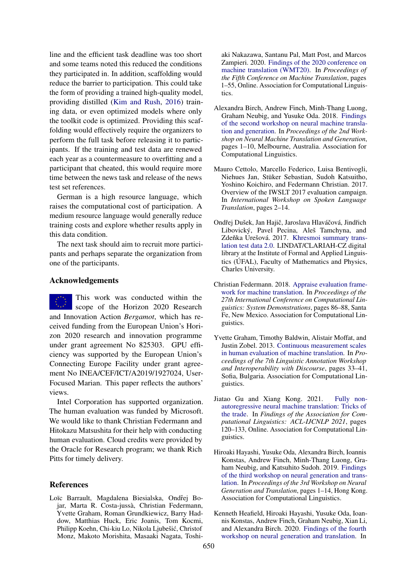line and the efficient task deadline was too short and some teams noted this reduced the conditions they participated in. In addition, scaffolding would reduce the barrier to participation. This could take the form of providing a trained high-quality model, providing distilled [\(Kim and Rush,](#page-12-11) [2016\)](#page-12-11) training data, or even optimized models where only the toolkit code is optimized. Providing this scaffolding would effectively require the organizers to perform the full task before releasing it to participants. If the training and test data are renewed each year as a countermeasure to overfitting and a participant that cheated, this would require more time between the news task and release of the news test set references.

German is a high resource language, which raises the computational cost of participation. A medium resource language would generally reduce training costs and explore whether results apply in this data condition.

The next task should aim to recruit more participants and perhaps separate the organization from one of the participants.

#### Acknowledgements

This work was conducted within the scope of the Horizon 2020 Research and Innovation Action *Bergamot*, which has received funding from the European Union's Horizon 2020 research and innovation programme under grant agreement No 825303. GPU efficiency was supported by the European Union's Connecting Europe Facility under grant agreement No INEA/CEF/ICT/A2019/1927024, User-Focused Marian. This paper reflects the authors' views.

Intel Corporation has supported organization. The human evaluation was funded by Microsoft. We would like to thank Christian Federmann and Hitokazu Matsushita for their help with conducting human evaluation. Cloud credits were provided by the Oracle for Research program; we thank Rich Pitts for timely delivery.

### References

<span id="page-11-3"></span>Loïc Barrault, Magdalena Biesialska, Ondřej Bojar, Marta R. Costa-jussà, Christian Federmann, Yvette Graham, Roman Grundkiewicz, Barry Haddow, Matthias Huck, Eric Joanis, Tom Kocmi, Philipp Koehn, Chi-kiu Lo, Nikola Ljubešic, Christof ´ Monz, Makoto Morishita, Masaaki Nagata, Toshi-

aki Nakazawa, Santanu Pal, Matt Post, and Marcos Zampieri. 2020. [Findings of the 2020 conference on](https://aclanthology.org/2020.wmt-1.1) [machine translation \(WMT20\).](https://aclanthology.org/2020.wmt-1.1) In *Proceedings of the Fifth Conference on Machine Translation*, pages 1–55, Online. Association for Computational Linguistics.

- <span id="page-11-2"></span>Alexandra Birch, Andrew Finch, Minh-Thang Luong, Graham Neubig, and Yusuke Oda. 2018. [Findings](https://doi.org/10.18653/v1/W18-2701) [of the second workshop on neural machine transla](https://doi.org/10.18653/v1/W18-2701)[tion and generation.](https://doi.org/10.18653/v1/W18-2701) In *Proceedings of the 2nd Workshop on Neural Machine Translation and Generation*, pages 1–10, Melbourne, Australia. Association for Computational Linguistics.
- <span id="page-11-6"></span>Mauro Cettolo, Marcello Federico, Luisa Bentivogli, Niehues Jan, Stüker Sebastian, Sudoh Katsuitho, Yoshino Koichiro, and Federmann Christian. 2017. Overview of the IWSLT 2017 evaluation campaign. In *International Workshop on Spoken Language Translation*, pages 2–14.
- <span id="page-11-4"></span>Ondřej Dušek, Jan Hajič, Jaroslava Hlaváčová, Jindřich Libovický, Pavel Pecina, Aleš Tamchyna, and Zdeňka Urešová. 2017. [Khresmoi summary trans](http://hdl.handle.net/11234/1-2122)[lation test data 2.0.](http://hdl.handle.net/11234/1-2122) LINDAT/CLARIAH-CZ digital library at the Institute of Formal and Applied Linguistics (ÚFAL), Faculty of Mathematics and Physics, Charles University.
- <span id="page-11-7"></span>Christian Federmann. 2018. [Appraise evaluation frame](https://aclanthology.org/C18-2019)[work for machine translation.](https://aclanthology.org/C18-2019) In *Proceedings of the 27th International Conference on Computational Linguistics: System Demonstrations*, pages 86–88, Santa Fe, New Mexico. Association for Computational Linguistics.
- <span id="page-11-5"></span>Yvette Graham, Timothy Baldwin, Alistair Moffat, and Justin Zobel. 2013. [Continuous measurement scales](https://aclanthology.org/W13-2305) [in human evaluation of machine translation.](https://aclanthology.org/W13-2305) In *Proceedings of the 7th Linguistic Annotation Workshop and Interoperability with Discourse*, pages 33–41, Sofia, Bulgaria. Association for Computational Linguistics.
- <span id="page-11-8"></span>Jiatao Gu and Xiang Kong. 2021. [Fully non](https://doi.org/10.18653/v1/2021.findings-acl.11)[autoregressive neural machine translation: Tricks of](https://doi.org/10.18653/v1/2021.findings-acl.11) [the trade.](https://doi.org/10.18653/v1/2021.findings-acl.11) In *Findings of the Association for Computational Linguistics: ACL-IJCNLP 2021*, pages 120–133, Online. Association for Computational Linguistics.
- <span id="page-11-1"></span>Hiroaki Hayashi, Yusuke Oda, Alexandra Birch, Ioannis Konstas, Andrew Finch, Minh-Thang Luong, Graham Neubig, and Katsuhito Sudoh. 2019. [Findings](https://doi.org/10.18653/v1/D19-5601) [of the third workshop on neural generation and trans](https://doi.org/10.18653/v1/D19-5601)[lation.](https://doi.org/10.18653/v1/D19-5601) In *Proceedings of the 3rd Workshop on Neural Generation and Translation*, pages 1–14, Hong Kong. Association for Computational Linguistics.
- <span id="page-11-0"></span>Kenneth Heafield, Hiroaki Hayashi, Yusuke Oda, Ioannis Konstas, Andrew Finch, Graham Neubig, Xian Li, and Alexandra Birch. 2020. [Findings of the fourth](https://doi.org/10.18653/v1/2020.ngt-1.1) [workshop on neural generation and translation.](https://doi.org/10.18653/v1/2020.ngt-1.1) In